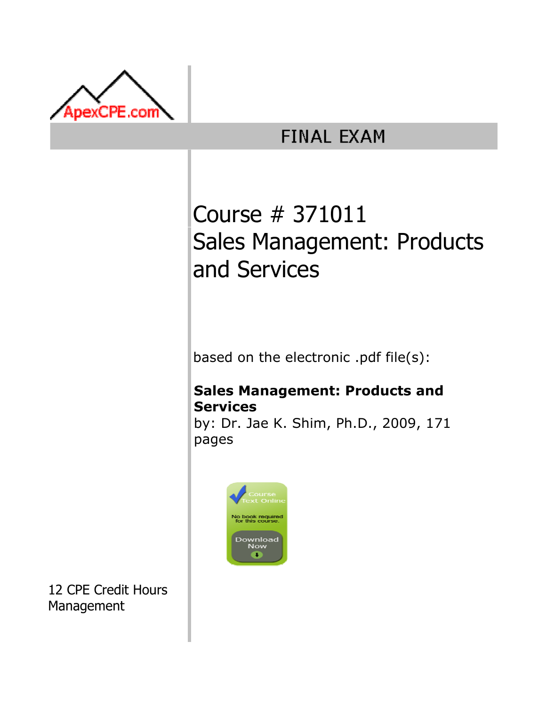

## **FINAL EXAM**

# Course # 371011 Sales Management: Products and Services

based on the electronic .pdf file(s):

### Sales Management: Products and Services

by: Dr. Jae K. Shim, Ph.D., 2009, 171 pages



12 CPE Credit Hours Management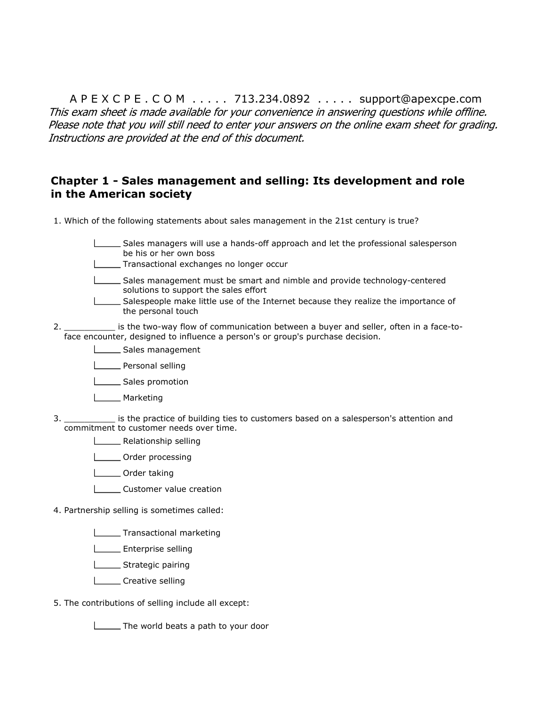A P E X C P E . C O M . . . . . 713.234.0892 . . . . . support@apexcpe.com This exam sheet is made available for your convenience in answering questions while offline. Please note that you will still need to enter your answers on the online exam sheet for grading. Instructions are provided at the end of this document.

#### Chapter 1 - Sales management and selling: Its development and role in the American society

- 1. Which of the following statements about sales management in the 21st century is true?
	- Sales managers will use a hands-off approach and let the professional salesperson be his or her own boss
	- Transactional exchanges no longer occur
	- Sales management must be smart and nimble and provide technology-centered solutions to support the sales effort
	- Salespeople make little use of the Internet because they realize the importance of the personal touch
- 2. is the two-way flow of communication between a buyer and seller, often in a face-toface encounter, designed to influence a person's or group's purchase decision.
	- Sales management
	- **Letter** Personal selling
	- Sales promotion
	- **Marketing**
- 3. \_\_\_\_\_\_\_\_\_\_ is the practice of building ties to customers based on a salesperson's attention and commitment to customer needs over time.
	- **Lackson** Relationship selling
	- **LETT** Order processing
	- **Lichnal** Order taking
	- **Customer value creation**
- 4. Partnership selling is sometimes called:
	- **Transactional marketing**
	- **Enterprise selling**
	- Strategic pairing
	- Creative selling
- 5. The contributions of selling include all except:

The world beats a path to your door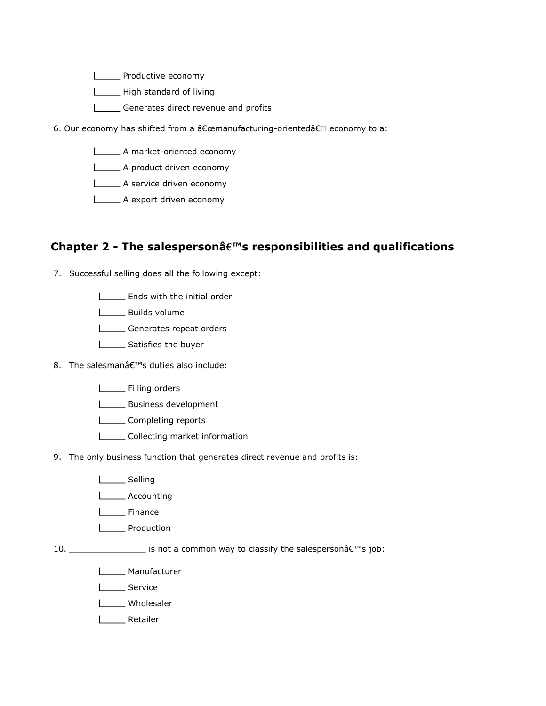- **Liet Exercise** Productive economy
- High standard of living
- Generates direct revenue and profits
- 6. Our economy has shifted from a "manufacturing-oriented†economy to a:
	- A market-oriented economy
	- A product driven economy
	- A service driven economy
	- A export driven economy

#### Chapter 2 - The salespersonâ€™s responsibilities and qualifications

- 7. Successful selling does all the following except:
	- **Ends with the initial order**
	- **LECCC** Builds volume
	- Generates repeat orders
	- Satisfies the buyer
- 8. The salesman's duties also include:
	- **LECTE** Filling orders
	- **Letter** Business development
	- **LECOMPLE COMPLE COMPLE**
	- **LECOLLECTILE COLLECTION** market information
- 9. The only business function that generates direct revenue and profits is:
	- Loom Selling
	- **LECOUNTING**
	- L<sub>EM</sub> Finance
	- **Lackson** Production
- $10.$  \_\_\_\_\_\_\_\_\_\_\_\_\_\_\_\_\_\_\_\_ is not a common way to classify the salesperson $\hat{\mathsf{a}} \in \mathbb{M}$ s job:
	- **L**\_\_\_\_\_\_ Manufacturer
	- L**ETT** Service
	- L**L** Wholesaler
	- Retailer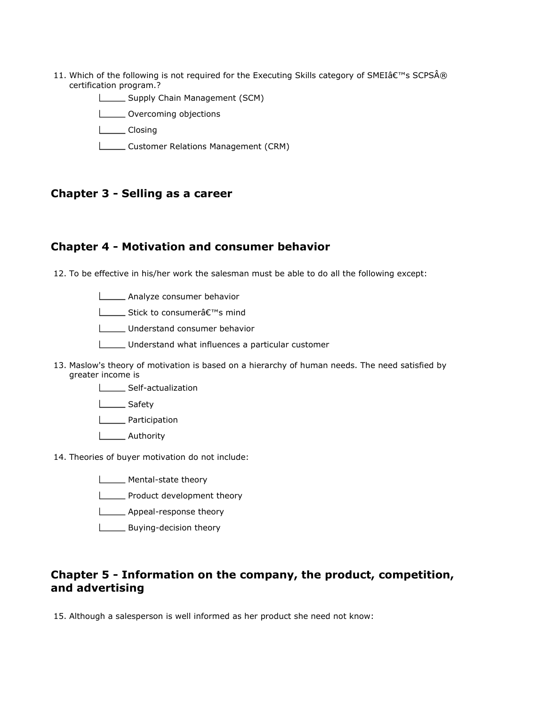- 11. Which of the following is not required for the Executing Skills category of SMEIâ $\epsilon$ <sup>rm</sup>s SCPSA® certification program.?
	- Supply Chain Management (SCM)
	- **LECT** Overcoming objections
	- L<sub>Closing</sub>
	- **LETT** Customer Relations Management (CRM)

#### Chapter 3 - Selling as a career

#### Chapter 4 - Motivation and consumer behavior

12. To be effective in his/her work the salesman must be able to do all the following except:

**LETTE** Analyze consumer behavior

**L** Stick to consumera<sup>€™</sup>s mind

Understand consumer behavior

- Understand what influences a particular customer
- 13. Maslow's theory of motivation is based on a hierarchy of human needs. The need satisfied by greater income is
	- Self-actualization
	- L<sub>Safety</sub>

**Lacker** Participation

- L<sub>Authority</sub>
- 14. Theories of buyer motivation do not include:
	- Mental-state theory
	- **LETT** Product development theory
	- **LETT** Appeal-response theory
	- **L**\_\_\_\_\_\_\_ Buying-decision theory

#### Chapter 5 - Information on the company, the product, competition, and advertising

15. Although a salesperson is well informed as her product she need not know: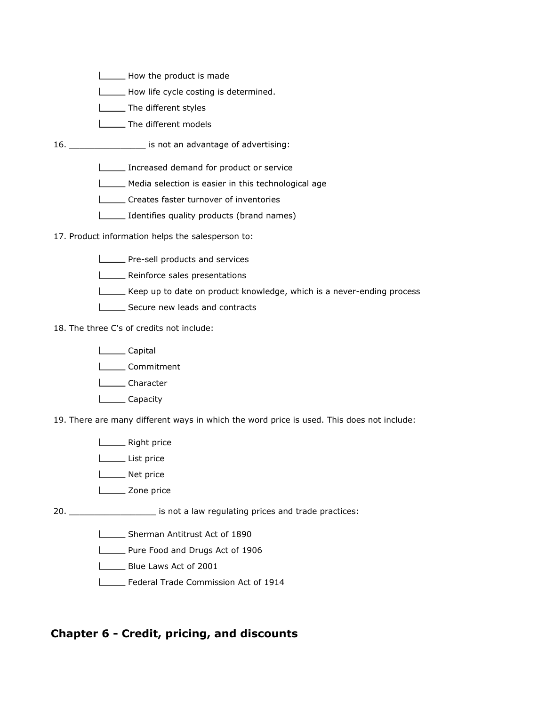- How the product is made
- How life cycle costing is determined.
- The different styles
- **LETTIME:** The different models
- 16. \_\_\_\_\_\_\_\_\_\_\_\_\_\_\_ is not an advantage of advertising:
	- **Increased demand for product or service**
	- Media selection is easier in this technological age
	- Creates faster turnover of inventories
	- Identifies quality products (brand names)
- 17. Product information helps the salesperson to:
	- **LECO** Pre-sell products and services
	- **LETTE** Reinforce sales presentations
	- Keep up to date on product knowledge, which is a never-ending process
	- Secure new leads and contracts
- 18. The three C's of credits not include:
	- L**Capital**
	- L**Commitment**
	- L**L**Character
	- L<sub>capacity</sub>
- 19. There are many different ways in which the word price is used. This does not include:
	- **Lating** Right price
	- List price
	- **Net price**
	- L<sub>2</sub> Zone price
- 20. \_\_\_\_\_\_\_\_\_\_\_\_\_\_\_\_\_ is not a law regulating prices and trade practices:
	- Sherman Antitrust Act of 1890
		- Pure Food and Drugs Act of 1906
		- **LETTE:** Blue Laws Act of 2001
		- Federal Trade Commission Act of 1914

#### Chapter 6 - Credit, pricing, and discounts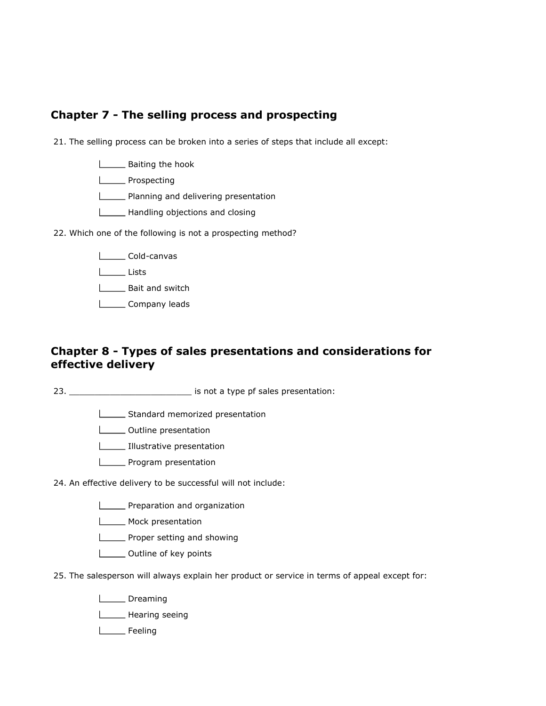#### Chapter 7 - The selling process and prospecting

21. The selling process can be broken into a series of steps that include all except:

- **Baiting the hook**
- **LEAR** Prospecting
- **LETT** Planning and delivering presentation
- Handling objections and closing
- 22. Which one of the following is not a prospecting method?
	- L**LCold-canvas**
	- Lists
	- **L** Bait and switch
	- Lompany leads

#### Chapter 8 - Types of sales presentations and considerations for effective delivery

23. \_\_\_\_\_\_\_\_\_\_\_\_\_\_\_\_\_\_\_\_\_\_\_\_ is not a type pf sales presentation:

- **LECTE** Standard memorized presentation
- **LECTE** Outline presentation
- **Illustrative presentation**
- **LETT** Program presentation
- 24. An effective delivery to be successful will not include:
	- **LETT** Preparation and organization
	- Mock presentation
	- **LETT** Proper setting and showing
	- **L** Outline of key points
- 25. The salesperson will always explain her product or service in terms of appeal except for:
	- **Lieff** Dreaming
	- **Looper** Hearing seeing
	- L<sub>EM</sub> Feeling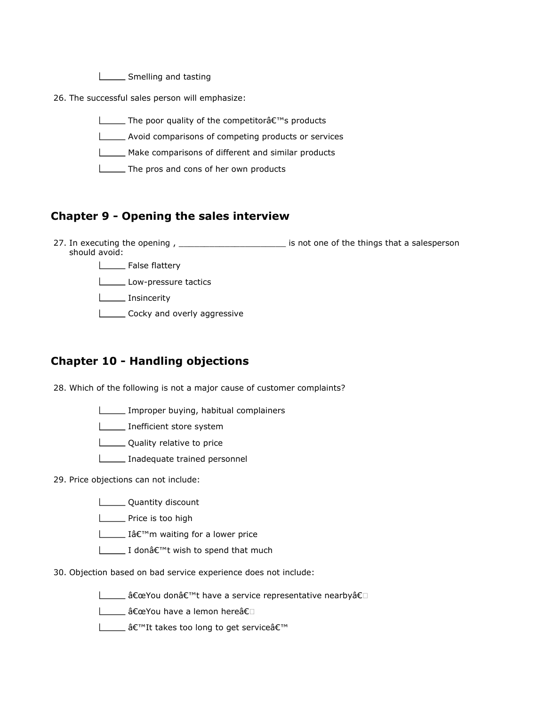**LETTE** Smelling and tasting

26. The successful sales person will emphasize:

 $\Box$  The poor quality of the competitor $\hat{a}\in\mathbb{T}^N$ s products

Avoid comparisons of competing products or services

Make comparisons of different and similar products

The pros and cons of her own products

#### Chapter 9 - Opening the sales interview

27. In executing the opening , \_\_\_\_\_\_\_\_\_\_\_\_\_\_\_\_\_\_\_\_\_\_\_\_\_\_\_ is not one of the things that a salesperson should avoid:

**L** False flattery

Low-pressure tactics

**Insincerity** 

**Lacky** and overly aggressive

#### Chapter 10 - Handling objections

28. Which of the following is not a major cause of customer complaints?

Improper buying, habitual complainers

**Inefficient store system** 

**Lackson** Quality relative to price

**Inadequate trained personnel** 

29. Price objections can not include:

**LETT** Quantity discount

**L**\_\_\_\_\_\_\_ Price is too high

L\_\_\_\_\_\_\_ I'm waiting for a lower price

**I** donâ€<sup>™</sup>t wish to spend that much

30. Objection based on bad service experience does not include:

L\_\_\_\_\_ "You don't have a service representative nearbyâ€

L\_\_\_\_\_ "You have a lemon hereâ€

L\_\_\_\_\_ 'It takes too long to get service'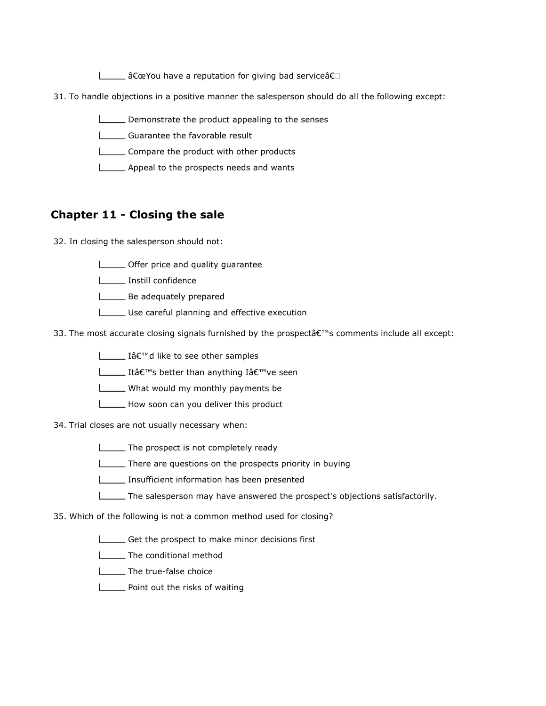Letting and service a reputation for giving bad service a E

- 31. To handle objections in a positive manner the salesperson should do all the following except:
	- Demonstrate the product appealing to the senses
	- Guarantee the favorable result
	- **LECOMPARE THE PRODUCT WITH OTHER PRODUCTS**
	- **Appeal to the prospects needs and wants**

#### Chapter 11 - Closing the sale

- 32. In closing the salesperson should not:
	- **LECT** Offer price and quality guarantee
	- **Instill confidence**
	- **Be adequately prepared**
	- Use careful planning and effective execution
- 33. The most accurate closing signals furnished by the prospect's comments include all except:
	- **I** I'd like to see other samples
	- **ILLET It's better than anything I've seen**
	- What would my monthly payments be
	- How soon can you deliver this product
- 34. Trial closes are not usually necessary when:
	- The prospect is not completely ready
	- There are questions on the prospects priority in buying
	- Insufficient information has been presented
	- The salesperson may have answered the prospect's objections satisfactorily.
- 35. Which of the following is not a common method used for closing?
	- Get the prospect to make minor decisions first
	- **L** The conditional method
	- L\_\_\_\_\_The true-false choice
	- **LETT** Point out the risks of waiting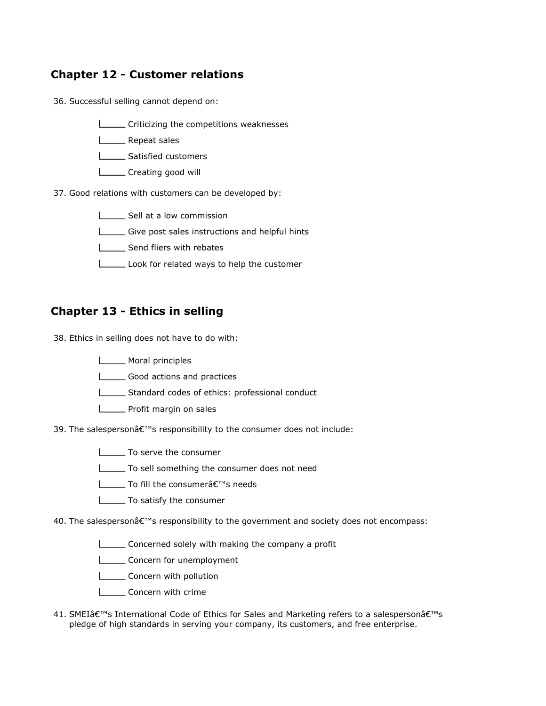#### Chapter 12 - Customer relations

36. Successful selling cannot depend on:

- **LECRITE Criticizing the competitions weaknesses**
- L<sub>\_\_\_\_</sub>\_\_\_\_ Repeat sales
- Satisfied customers
- **LETT** Creating good will
- 37. Good relations with customers can be developed by:
	- Sell at a low commission
	- Give post sales instructions and helpful hints
	- Send fliers with rebates
	- Look for related ways to help the customer

#### Chapter 13 - Ethics in selling

38. Ethics in selling does not have to do with:

- **Moral principles**
- Good actions and practices
- Standard codes of ethics: professional conduct
- **LETTE** Profit margin on sales
- 39. The salesperson's responsibility to the consumer does not include:
	- $\Box$  To serve the consumer
	- To sell something the consumer does not need
	- **∐** To fill the consumer's needs
	- To satisfy the consumer
- 40. The salesperson's responsibility to the government and society does not encompass:
	- Concerned solely with making the company a profit
	- **LECONCERTY** for unemployment
	- **LECONCERCITY** with pollution
	- **Loncern with crime**
- 41. SMEI's International Code of Ethics for Sales and Marketing refers to a salesperson's pledge of high standards in serving your company, its customers, and free enterprise.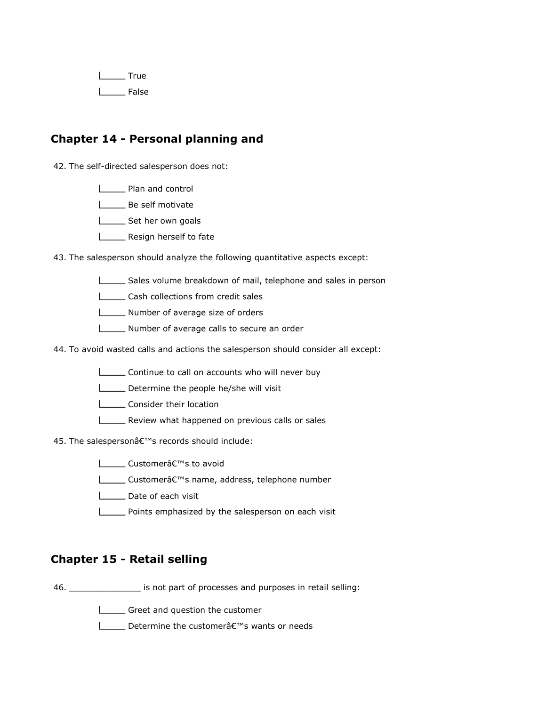$I_{\text{max}}$ True I<sub>\_\_</sub>\_\_\_\_ False

#### Chapter 14 - Personal planning and

42. The self-directed salesperson does not:

**Lackson** Plan and control

**L**\_\_\_\_\_\_ Be self motivate

- Set her own goals
- **LETT** Resign herself to fate

43. The salesperson should analyze the following quantitative aspects except:

- Sales volume breakdown of mail, telephone and sales in person
- **LETT** Cash collections from credit sales
- Number of average size of orders
- Number of average calls to secure an order
- 44. To avoid wasted calls and actions the salesperson should consider all except:
	- **LECONTINUME CONTINUM** Continue to call on accounts who will never buy
	- Determine the people he/she will visit
	- **Lackson** Consider their location
	- **LETT** Review what happened on previous calls or sales

45. The salesperson's records should include:

- **L** Customerâ€<sup>™</sup>s to avoid
- **L** Customerâ€<sup>™</sup>s name, address, telephone number
- Date of each visit
- **Points emphasized by the salesperson on each visit**

#### Chapter 15 - Retail selling

46. \_\_\_\_\_\_\_\_\_\_\_\_\_\_ is not part of processes and purposes in retail selling:

Greet and question the customer

**L** Determine the customer a€<sup>™</sup>s wants or needs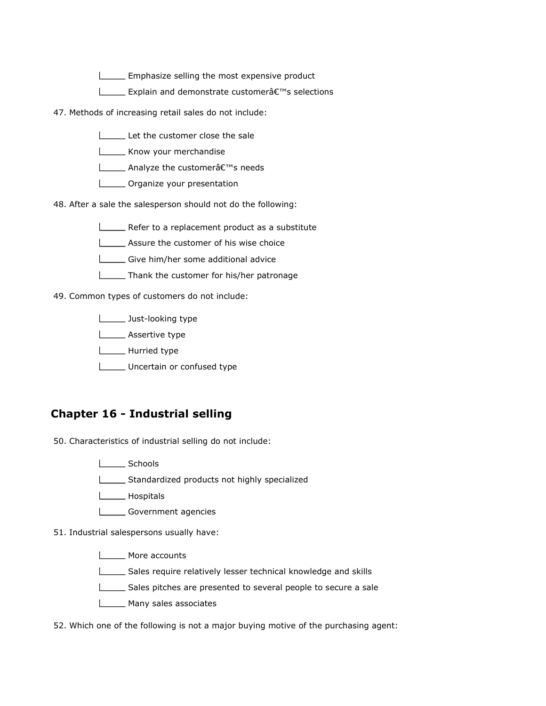Emphasize selling the most expensive product

- **EXPLAINE EXPlain and demonstrate customer** a E<sup>™</sup>s selections
- 47. Methods of increasing retail sales do not include:
	- Let the customer close the sale
	- **LETTE** Know your merchandise
	- **L** Analyze the customerâ€<sup>™</sup>s needs
	- **LECTE** Organize your presentation

48. After a sale the salesperson should not do the following:

- **LECT** Refer to a replacement product as a substitute
- **LECT** Assure the customer of his wise choice
- Give him/her some additional advice
- **Thank the customer for his/her patronage**

49. Common types of customers do not include:

- **Just-looking type**
- **Looper Assertive type**
- **L** Hurried type
- Uncertain or confused type

#### Chapter 16 - Industrial selling

50. Characteristics of industrial selling do not include:

- | Schools
- Standardized products not highly specialized
- **Lospitals**
- Government agencies

51. Industrial salespersons usually have:

- **LECCC** More accounts
- Sales require relatively lesser technical knowledge and skills
- Sales pitches are presented to several people to secure a sale
- **Many sales associates**

52. Which one of the following is not a major buying motive of the purchasing agent: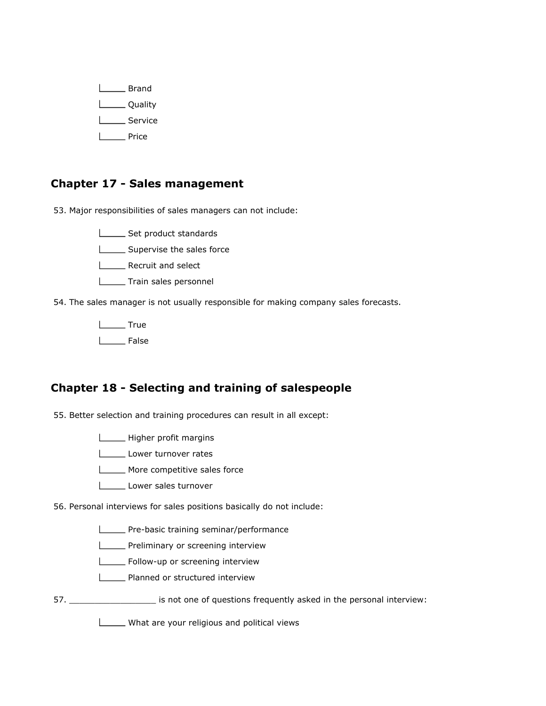L**eta** Brand L<sub>Quality</sub> L<sub>Service</sub> **Lacker** Price

#### Chapter 17 - Sales management

53. Major responsibilities of sales managers can not include:

Set product standards

**LECT** Supervise the sales force

**LECREA** Recruit and select

**Letter** Train sales personnel

54. The sales manager is not usually responsible for making company sales forecasts.

L<sub>tu</sub> True L<sub>b</sub>False

#### Chapter 18 - Selecting and training of salespeople

55. Better selection and training procedures can result in all except:

Higher profit margins

Lower turnover rates

**LETTE** More competitive sales force

Lower sales turnover

56. Personal interviews for sales positions basically do not include:

**LETTE-basic training seminar/performance** 

**LECT** Preliminary or screening interview

**LECTE** Follow-up or screening interview

**LECTE** Planned or structured interview

57. \_\_\_\_\_\_\_\_\_\_\_\_\_\_\_\_\_ is not one of questions frequently asked in the personal interview:

What are your religious and political views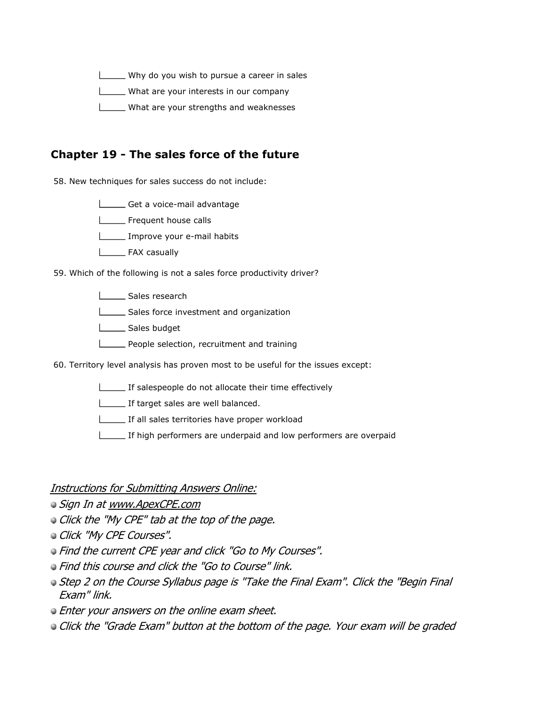$\Box$  Why do you wish to pursue a career in sales

What are your interests in our company

**LETT** What are your strengths and weaknesses

#### Chapter 19 - The sales force of the future

58. New techniques for sales success do not include:

Get a voice-mail advantage

Frequent house calls

Improve your e-mail habits

**LEAX** casually

59. Which of the following is not a sales force productivity driver?

| Sales research

Sales force investment and organization

L\_\_\_\_\_\_ Sales budget

**LECT** People selection, recruitment and training

60. Territory level analysis has proven most to be useful for the issues except:

If salespeople do not allocate their time effectively

If target sales are well balanced.

If all sales territories have proper workload

If high performers are underpaid and low performers are overpaid

Instructions for Submitting Answers Online:

 $\bullet$  Sign In at www.ApexCPE.com

Click the "My CPE" tab at the top of the page.

**Click "My CPE Courses".** 

- Find the current CPE year and click "Go to My Courses".
- Find this course and click the "Go to Course" link.
- **Step 2 on the Course Syllabus page is "Take the Final Exam". Click the "Begin Final** Exam" link.
- **Enter your answers on the online exam sheet.**
- **Click the "Grade Exam" button at the bottom of the page. Your exam will be graded**